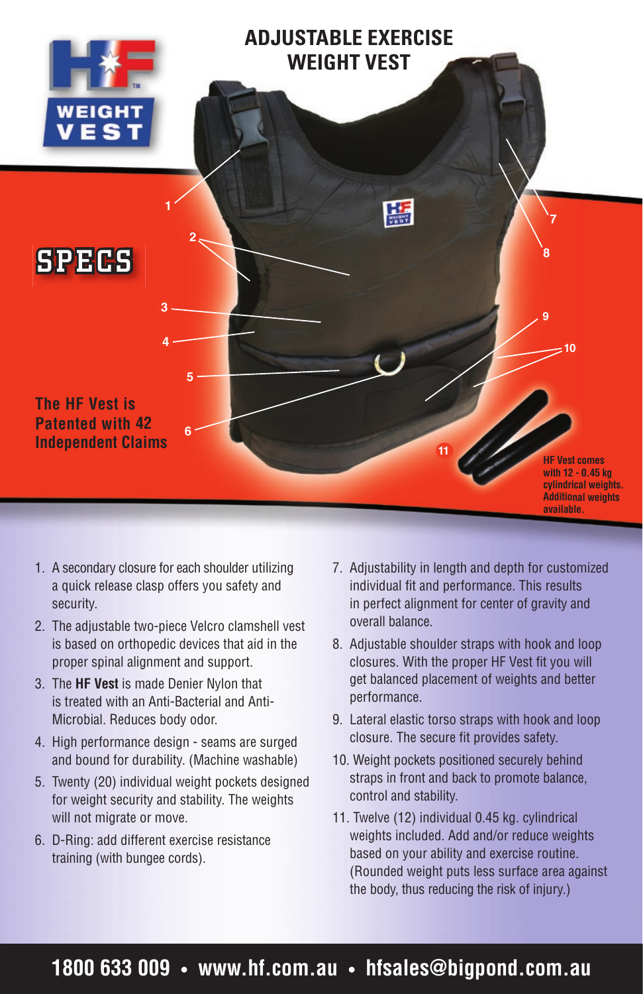

- 1. A secondary closure for each shoulder utilizing a quick release clasp offers you safety and security.
- 2. The adjustable two-piece Velcro clamshell vest is based on orthopedic devices that aid in the proper spinal alignment and support.
- 3. The **HF Vest** is made Denier Nylon that is treated with an Anti-Bacterial and Anti-Microbial. Reduces body odor.
- 4. High performance design seams are surged and bound for durability. (Machine washable)
- 5. Twenty (20) individual weight pockets designed for weight security and stability. The weights will not migrate or move.
- 6. D-Ring: add different exercise resistance training (with bungee cords).
- 7. Adjustability in length and depth for customized individual fit and performance. This results in perfect alignment for center of gravity and overall balance.
- 8. Adjustable shoulder straps with hook and loop closures. With the proper HF Vest fit you will get balanced placement of weights and better performance.
- 9. Lateral elastic torso straps with hook and loop closure. The secure fit provides safety.
- 10. Weight pockets positioned securely behind straps in front and back to promote balance, control and stability.
- 11. Twelve (12) individual 0.45 kg. cylindrical weights included. Add and/or reduce weights based on your ability and exercise routine. (Rounded weight puts less surface area against the body, thus reducing the risk of injury.)

### **1800 633 009 • www.hf.com.au • hfsales@bigpond.com.au**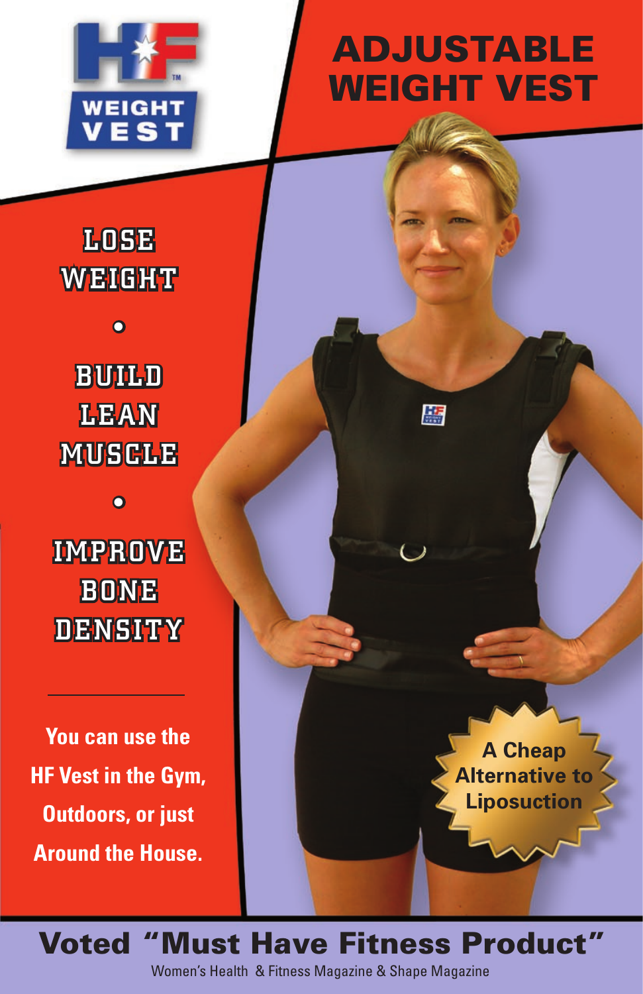

## ADJUSTABLE WEIGHT VEST

顯

## **LOSE WEIGHT**

 $\overline{\mathbf{o}}$ 

**BUILD LEAN MUSCLE** 

 $\overline{\mathbf{o}}$ 

## **IMPROVE BONE DENSITY**

**You can use the HF Vest in the Gym, Outdoors, or just Around the House.**

**A Cheap Alternative to Liposuction** 

Voted "Must Have Fitness Product" Women's Health & Fitness Magazine & Shape Magazine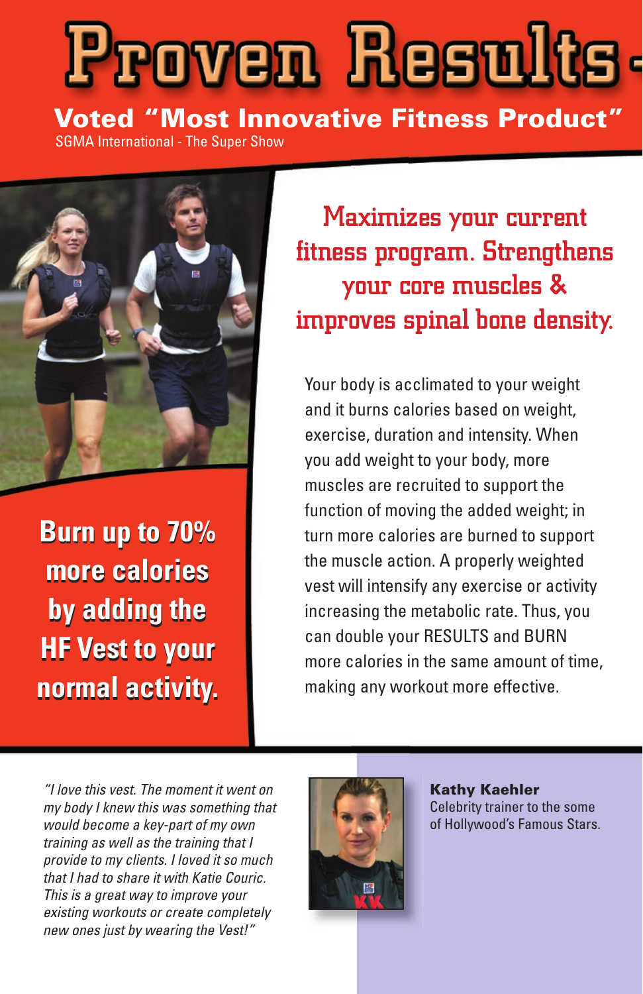# **Proven Results.**

Voted "Most Innovative Fitness Product" SGMA International - The Super Show



**Burn up to 70% Burn up to 70% more calories more calories by adding the by adding the HF Vest to your HF Vest to your normal activity. normal activity.**

Maximizes your current fitness program. Strengthens your core muscles & improves spinal bone density.

Your body is acclimated to your weight and it burns calories based on weight, exercise, duration and intensity. When you add weight to your body, more muscles are recruited to support the function of moving the added weight; in turn more calories are burned to support the muscle action. A properly weighted vest will intensify any exercise or activity increasing the metabolic rate. Thus, you can double your RESULTS and BURN more calories in the same amount of time, making any workout more effective.

"I love this vest. The moment it went on my body I knew this was something that would become a key-part of my own training as well as the training that I provide to my clients. I loved it so much that I had to share it with Katie Couric. This is a great way to improve your existing workouts or create completely new ones just by wearing the Vest!"



Kathy Kaehler Celebrity trainer to the some of Hollywood's Famous Stars.